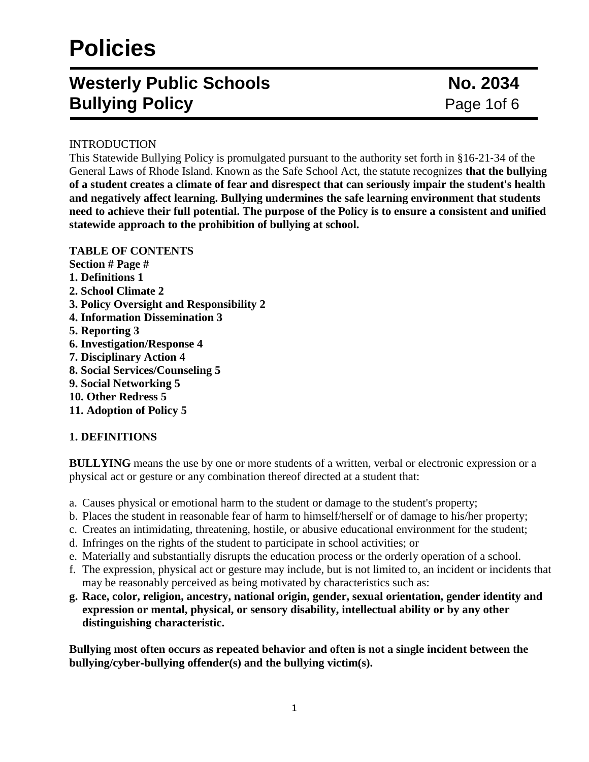# **Policies**

# **Westerly Public Schools No. 2034 Bullying Policy Page 10f 6 Page 10f 6**

### INTRODUCTION

This Statewide Bullying Policy is promulgated pursuant to the authority set forth in §16‐21‐34 of the General Laws of Rhode Island. Known as the Safe School Act, the statute recognizes **that the bullying of a student creates a climate of fear and disrespect that can seriously impair the student's health and negatively affect learning. Bullying undermines the safe learning environment that students need to achieve their full potential. The purpose of the Policy is to ensure a consistent and unified statewide approach to the prohibition of bullying at school.**

### **TABLE OF CONTENTS**

**Section # Page # 1. Definitions 1 2. School Climate 2 3. Policy Oversight and Responsibility 2 4. Information Dissemination 3 5. Reporting 3 6. Investigation/Response 4 7. Disciplinary Action 4 8. Social Services/Counseling 5 9. Social Networking 5 10. Other Redress 5 11. Adoption of Policy 5**

## **1. DEFINITIONS**

**BULLYING** means the use by one or more students of a written, verbal or electronic expression or a physical act or gesture or any combination thereof directed at a student that:

- a. Causes physical or emotional harm to the student or damage to the student's property;
- b. Places the student in reasonable fear of harm to himself/herself or of damage to his/her property;
- c. Creates an intimidating, threatening, hostile, or abusive educational environment for the student;
- d. Infringes on the rights of the student to participate in school activities; or
- e. Materially and substantially disrupts the education process or the orderly operation of a school.
- f. The expression, physical act or gesture may include, but is not limited to, an incident or incidents that may be reasonably perceived as being motivated by characteristics such as:
- **g. Race, color, religion, ancestry, national origin, gender, sexual orientation, gender identity and expression or mental, physical, or sensory disability, intellectual ability or by any other distinguishing characteristic.**

**Bullying most often occurs as repeated behavior and often is not a single incident between the bullying/cyber**‐**bullying offender(s) and the bullying victim(s).**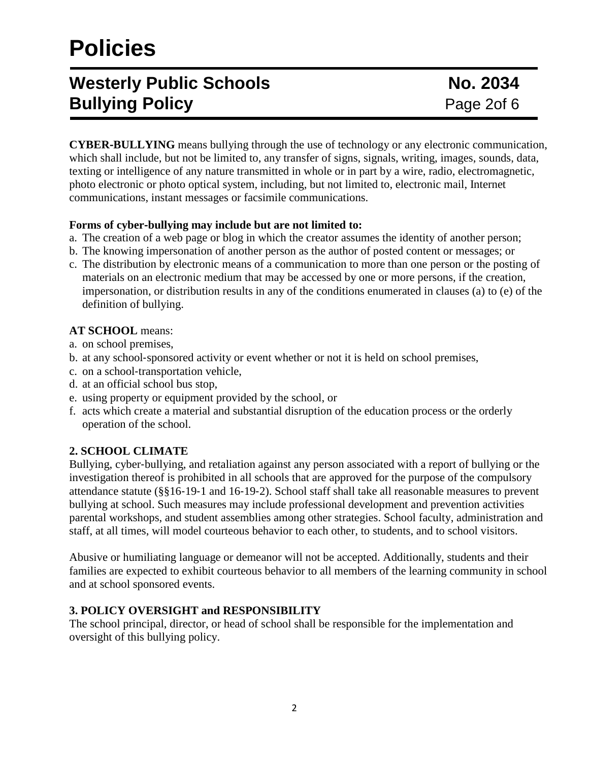# **Policies**

# **Westerly Public Schools No. 2034 Bullying Policy Page 20f 6 Page 20f 6**

**CYBER**‐**BULLYING** means bullying through the use of technology or any electronic communication, which shall include, but not be limited to, any transfer of signs, signals, writing, images, sounds, data, texting or intelligence of any nature transmitted in whole or in part by a wire, radio, electromagnetic, photo electronic or photo optical system, including, but not limited to, electronic mail, Internet communications, instant messages or facsimile communications.

### **Forms of cyber**‐**bullying may include but are not limited to:**

- a. The creation of a web page or blog in which the creator assumes the identity of another person;
- b. The knowing impersonation of another person as the author of posted content or messages; or
- c. The distribution by electronic means of a communication to more than one person or the posting of materials on an electronic medium that may be accessed by one or more persons, if the creation, impersonation, or distribution results in any of the conditions enumerated in clauses (a) to (e) of the definition of bullying.

## **AT SCHOOL** means:

- a. on school premises,
- b. at any school‐sponsored activity or event whether or not it is held on school premises,
- c. on a school‐transportation vehicle,
- d. at an official school bus stop,
- e. using property or equipment provided by the school, or
- f. acts which create a material and substantial disruption of the education process or the orderly operation of the school.

## **2. SCHOOL CLIMATE**

Bullying, cyber‐bullying, and retaliation against any person associated with a report of bullying or the investigation thereof is prohibited in all schools that are approved for the purpose of the compulsory attendance statute (§§16‐19‐1 and 16‐19‐2). School staff shall take all reasonable measures to prevent bullying at school. Such measures may include professional development and prevention activities parental workshops, and student assemblies among other strategies. School faculty, administration and staff, at all times, will model courteous behavior to each other, to students, and to school visitors.

Abusive or humiliating language or demeanor will not be accepted. Additionally, students and their families are expected to exhibit courteous behavior to all members of the learning community in school and at school sponsored events.

## **3. POLICY OVERSIGHT and RESPONSIBILITY**

The school principal, director, or head of school shall be responsible for the implementation and oversight of this bullying policy.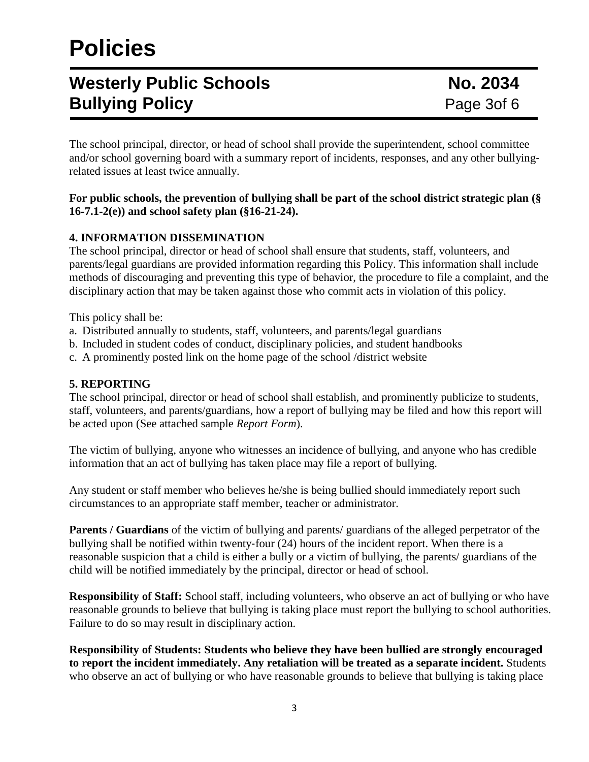# **Policies**

# **Westerly Public Schools No. 2034 Bullying Policy Page 3of 6 Page 3of 6**

The school principal, director, or head of school shall provide the superintendent, school committee and/or school governing board with a summary report of incidents, responses, and any other bullyingrelated issues at least twice annually.

#### **For public schools, the prevention of bullying shall be part of the school district strategic plan (§ 16**‐**7.1**‐**2(e)) and school safety plan (§16**‐**21**‐**24).**

## **4. INFORMATION DISSEMINATION**

The school principal, director or head of school shall ensure that students, staff, volunteers, and parents/legal guardians are provided information regarding this Policy. This information shall include methods of discouraging and preventing this type of behavior, the procedure to file a complaint, and the disciplinary action that may be taken against those who commit acts in violation of this policy.

This policy shall be:

- a. Distributed annually to students, staff, volunteers, and parents/legal guardians
- b. Included in student codes of conduct, disciplinary policies, and student handbooks
- c. A prominently posted link on the home page of the school /district website

#### **5. REPORTING**

The school principal, director or head of school shall establish, and prominently publicize to students, staff, volunteers, and parents/guardians, how a report of bullying may be filed and how this report will be acted upon (See attached sample *Report Form*).

The victim of bullying, anyone who witnesses an incidence of bullying, and anyone who has credible information that an act of bullying has taken place may file a report of bullying.

Any student or staff member who believes he/she is being bullied should immediately report such circumstances to an appropriate staff member, teacher or administrator.

**Parents / Guardians** of the victim of bullying and parents/ guardians of the alleged perpetrator of the bullying shall be notified within twenty-four (24) hours of the incident report. When there is a reasonable suspicion that a child is either a bully or a victim of bullying, the parents/ guardians of the child will be notified immediately by the principal, director or head of school.

**Responsibility of Staff:** School staff, including volunteers, who observe an act of bullying or who have reasonable grounds to believe that bullying is taking place must report the bullying to school authorities. Failure to do so may result in disciplinary action.

**Responsibility of Students: Students who believe they have been bullied are strongly encouraged to report the incident immediately. Any retaliation will be treated as a separate incident.** Students who observe an act of bullying or who have reasonable grounds to believe that bullying is taking place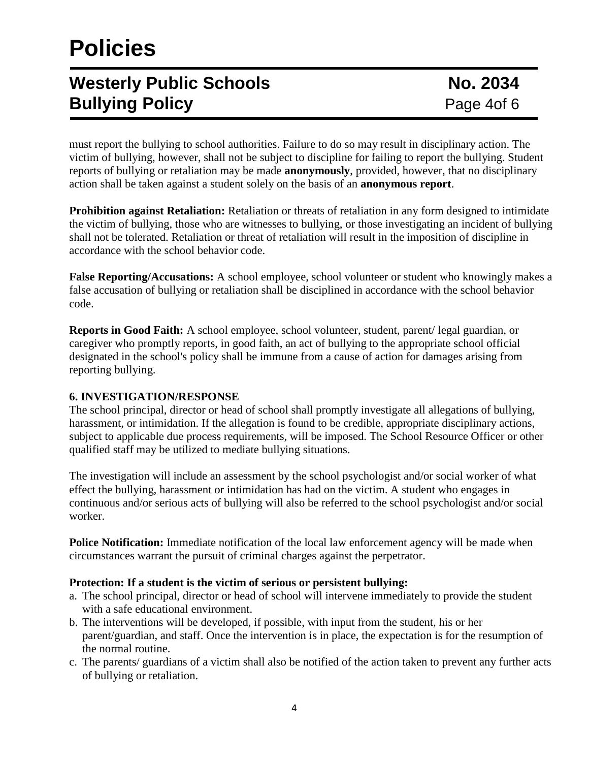# **Westerly Public Schools No. 2034 Bullying Policy Page 4of 6 Page 4of 6**

must report the bullying to school authorities. Failure to do so may result in disciplinary action. The victim of bullying, however, shall not be subject to discipline for failing to report the bullying. Student reports of bullying or retaliation may be made **anonymously**, provided, however, that no disciplinary action shall be taken against a student solely on the basis of an **anonymous report**.

**Prohibition against Retaliation:** Retaliation or threats of retaliation in any form designed to intimidate the victim of bullying, those who are witnesses to bullying, or those investigating an incident of bullying shall not be tolerated. Retaliation or threat of retaliation will result in the imposition of discipline in accordance with the school behavior code.

**False Reporting/Accusations:** A school employee, school volunteer or student who knowingly makes a false accusation of bullying or retaliation shall be disciplined in accordance with the school behavior code.

**Reports in Good Faith:** A school employee, school volunteer, student, parent/ legal guardian, or caregiver who promptly reports, in good faith, an act of bullying to the appropriate school official designated in the school's policy shall be immune from a cause of action for damages arising from reporting bullying.

### **6. INVESTIGATION/RESPONSE**

The school principal, director or head of school shall promptly investigate all allegations of bullying, harassment, or intimidation. If the allegation is found to be credible, appropriate disciplinary actions, subject to applicable due process requirements, will be imposed. The School Resource Officer or other qualified staff may be utilized to mediate bullying situations.

The investigation will include an assessment by the school psychologist and/or social worker of what effect the bullying, harassment or intimidation has had on the victim. A student who engages in continuous and/or serious acts of bullying will also be referred to the school psychologist and/or social worker.

**Police Notification:** Immediate notification of the local law enforcement agency will be made when circumstances warrant the pursuit of criminal charges against the perpetrator.

### **Protection: If a student is the victim of serious or persistent bullying:**

- a. The school principal, director or head of school will intervene immediately to provide the student with a safe educational environment.
- b. The interventions will be developed, if possible, with input from the student, his or her parent/guardian, and staff. Once the intervention is in place, the expectation is for the resumption of the normal routine.
- c. The parents/ guardians of a victim shall also be notified of the action taken to prevent any further acts of bullying or retaliation.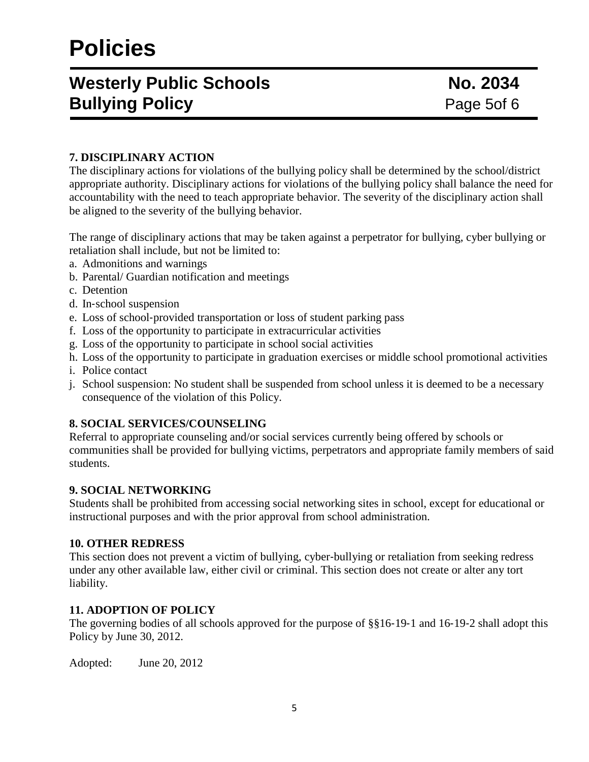# **Westerly Public Schools No. 2034 Bullying Policy Page 5of 6 Page 5of 6**

# **7. DISCIPLINARY ACTION**

The disciplinary actions for violations of the bullying policy shall be determined by the school/district appropriate authority. Disciplinary actions for violations of the bullying policy shall balance the need for accountability with the need to teach appropriate behavior. The severity of the disciplinary action shall be aligned to the severity of the bullying behavior.

The range of disciplinary actions that may be taken against a perpetrator for bullying, cyber bullying or retaliation shall include, but not be limited to:

- a. Admonitions and warnings
- b. Parental/ Guardian notification and meetings
- c. Detention
- d. In‐school suspension
- e. Loss of school‐provided transportation or loss of student parking pass
- f. Loss of the opportunity to participate in extracurricular activities
- g. Loss of the opportunity to participate in school social activities
- h. Loss of the opportunity to participate in graduation exercises or middle school promotional activities
- i. Police contact
- j. School suspension: No student shall be suspended from school unless it is deemed to be a necessary consequence of the violation of this Policy.

### **8. SOCIAL SERVICES/COUNSELING**

Referral to appropriate counseling and/or social services currently being offered by schools or communities shall be provided for bullying victims, perpetrators and appropriate family members of said students.

### **9. SOCIAL NETWORKING**

Students shall be prohibited from accessing social networking sites in school, except for educational or instructional purposes and with the prior approval from school administration.

#### **10. OTHER REDRESS**

This section does not prevent a victim of bullying, cyber-bullying or retaliation from seeking redress under any other available law, either civil or criminal. This section does not create or alter any tort liability.

### **11. ADOPTION OF POLICY**

The governing bodies of all schools approved for the purpose of §§16-19-1 and 16-19-2 shall adopt this Policy by June 30, 2012.

Adopted: June 20, 2012